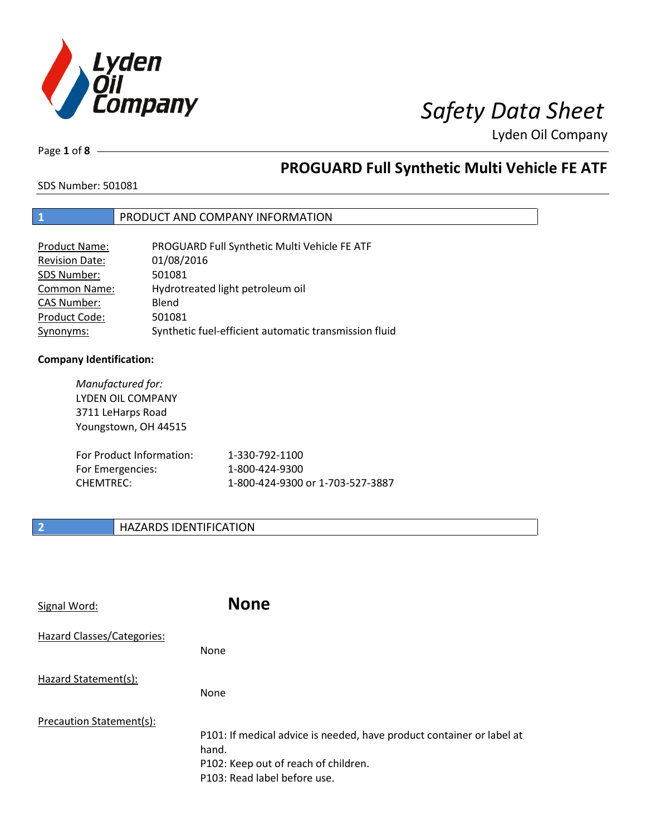

Page **1** of **8**

## **PROGUARD Full Synthetic Multi Vehicle FE ATF**

SDS Number: 501081

## **1** PRODUCT AND COMPANY INFORMATION

| <b>Product Name:</b>  | PROGUARD Full Synthetic Multi Vehicle FE ATF          |
|-----------------------|-------------------------------------------------------|
| <b>Revision Date:</b> | 01/08/2016                                            |
| SDS Number:           | 501081                                                |
| Common Name:          | Hydrotreated light petroleum oil                      |
| <b>CAS Number:</b>    | Blend                                                 |
| Product Code:         | 501081                                                |
| Synonyms:             | Synthetic fuel-efficient automatic transmission fluid |

### **Company Identification:**

*Manufactured for:* LYDEN OIL COMPANY 3711 LeHarps Road Youngstown, OH 44515 For Product Information: 1-330-792-1100 For Emergencies: 1-800-424-9300 CHEMTREC: 1-800-424-9300 or 1-703-527-3887

## **2 HAZARDS IDENTIFICATION**

| Signal Word:               | <b>None</b>                                                                                                                                            |
|----------------------------|--------------------------------------------------------------------------------------------------------------------------------------------------------|
| Hazard Classes/Categories: | None                                                                                                                                                   |
| Hazard Statement(s):       | None                                                                                                                                                   |
| Precaution Statement(s):   | P101: If medical advice is needed, have product container or label at<br>hand.<br>P102: Keep out of reach of children.<br>P103: Read label before use. |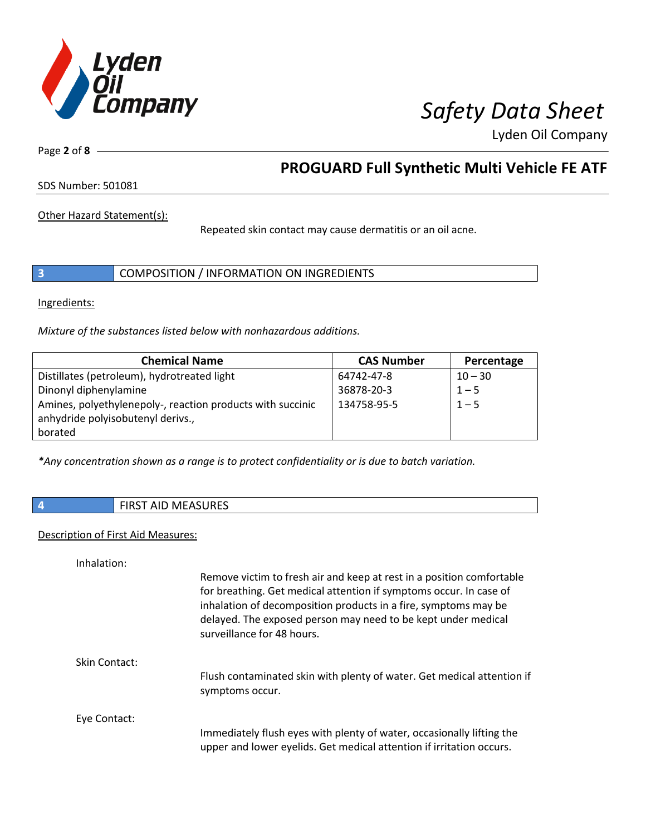

Page **2** of **8**

## **PROGUARD Full Synthetic Multi Vehicle FE ATF**

SDS Number: 501081

Other Hazard Statement(s):

Repeated skin contact may cause dermatitis or an oil acne.

|  | COMPOSITION / INFORMATION ON INGREDIENTS |
|--|------------------------------------------|
|--|------------------------------------------|

Ingredients:

*Mixture of the substances listed below with nonhazardous additions.*

| <b>Chemical Name</b>                                       | <b>CAS Number</b> | Percentage |
|------------------------------------------------------------|-------------------|------------|
| Distillates (petroleum), hydrotreated light                | 64742-47-8        | $10 - 30$  |
| Dinonyl diphenylamine                                      | 36878-20-3        | $1 - 5$    |
| Amines, polyethylenepoly-, reaction products with succinic | 134758-95-5       | $1 - 5$    |
| anhydride polyisobutenyl derivs.,                          |                   |            |
| borated                                                    |                   |            |

*\*Any concentration shown as a range is to protect confidentiality or is due to batch variation.*

|  | <b>AID MEASURES</b><br>$F: \cap C \rightarrow A$<br>AIL.<br>. |
|--|---------------------------------------------------------------|
|--|---------------------------------------------------------------|

### Description of First Aid Measures:

Inhalation:

|               | Remove victim to fresh air and keep at rest in a position comfortable<br>for breathing. Get medical attention if symptoms occur. In case of<br>inhalation of decomposition products in a fire, symptoms may be<br>delayed. The exposed person may need to be kept under medical<br>surveillance for 48 hours. |
|---------------|---------------------------------------------------------------------------------------------------------------------------------------------------------------------------------------------------------------------------------------------------------------------------------------------------------------|
| Skin Contact: |                                                                                                                                                                                                                                                                                                               |
|               | Flush contaminated skin with plenty of water. Get medical attention if<br>symptoms occur.                                                                                                                                                                                                                     |
| Eye Contact:  |                                                                                                                                                                                                                                                                                                               |
|               | Immediately flush eyes with plenty of water, occasionally lifting the<br>upper and lower eyelids. Get medical attention if irritation occurs.                                                                                                                                                                 |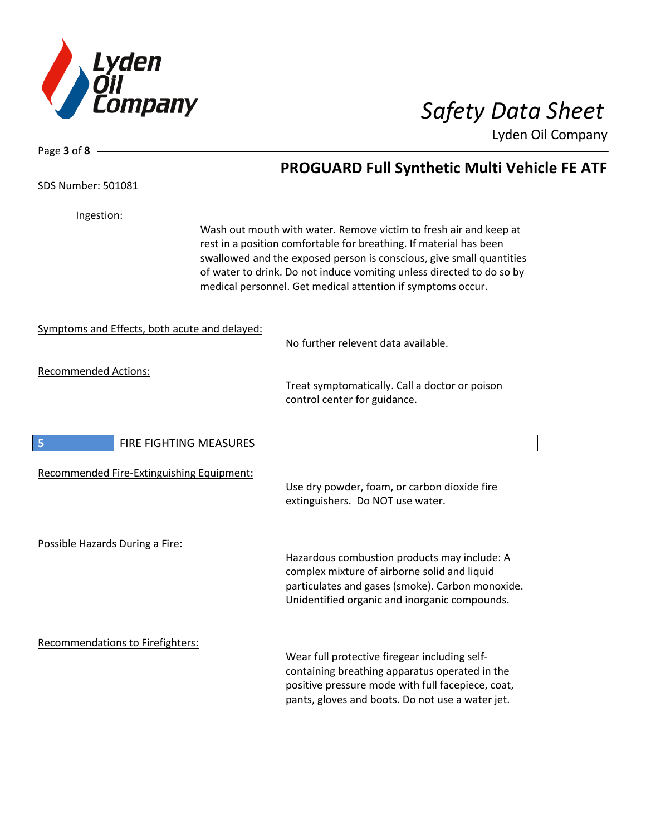

Page **3** of **8**

SDS Number: 501081

Lyden Oil Company

# **PROGUARD Full Synthetic Multi Vehicle FE ATF**

| Ingestion:                                    |                        | Wash out mouth with water. Remove victim to fresh air and keep at<br>rest in a position comfortable for breathing. If material has been<br>swallowed and the exposed person is conscious, give small quantities<br>of water to drink. Do not induce vomiting unless directed to do so by<br>medical personnel. Get medical attention if symptoms occur. |
|-----------------------------------------------|------------------------|---------------------------------------------------------------------------------------------------------------------------------------------------------------------------------------------------------------------------------------------------------------------------------------------------------------------------------------------------------|
| Symptoms and Effects, both acute and delayed: |                        | No further relevent data available.                                                                                                                                                                                                                                                                                                                     |
| <b>Recommended Actions:</b>                   |                        | Treat symptomatically. Call a doctor or poison<br>control center for guidance.                                                                                                                                                                                                                                                                          |
| 5                                             | FIRE FIGHTING MEASURES |                                                                                                                                                                                                                                                                                                                                                         |
| Recommended Fire-Extinguishing Equipment:     |                        | Use dry powder, foam, or carbon dioxide fire<br>extinguishers. Do NOT use water.                                                                                                                                                                                                                                                                        |
| Possible Hazards During a Fire:               |                        | Hazardous combustion products may include: A<br>complex mixture of airborne solid and liquid<br>particulates and gases (smoke). Carbon monoxide.<br>Unidentified organic and inorganic compounds.                                                                                                                                                       |
| <b>Recommendations to Firefighters:</b>       |                        | Wear full protective firegear including self-<br>containing breathing apparatus operated in the<br>positive pressure mode with full facepiece, coat,<br>pants, gloves and boots. Do not use a water jet.                                                                                                                                                |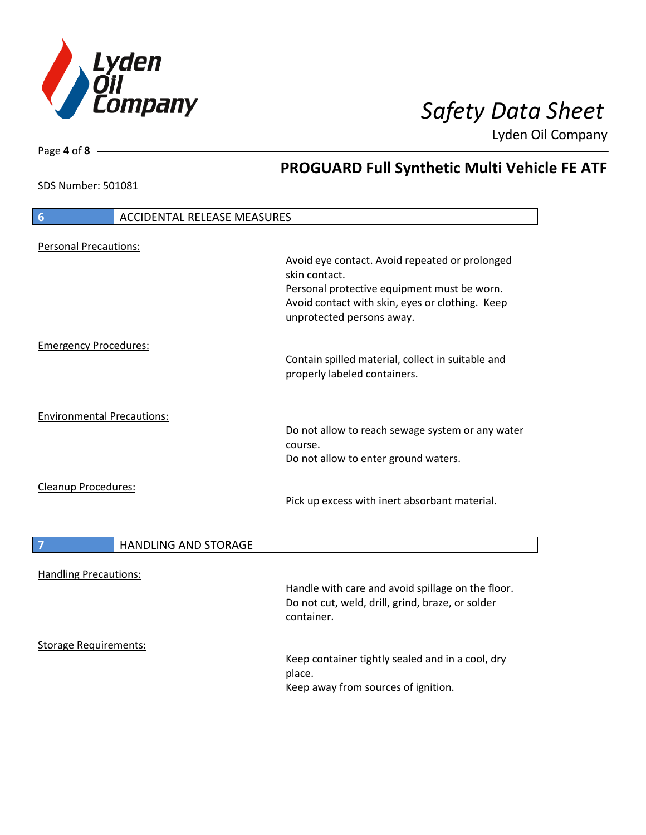

**PROGUARD Full Synthetic Multi Vehicle FE ATF**

Lyden Oil Company

SDS Number: 501081

Page **4** of **8**

# **6** ACCIDENTAL RELEASE MEASURES Personal Precautions: Avoid eye contact. Avoid repeated or prolonged skin contact. Personal protective equipment must be worn. Avoid contact with skin, eyes or clothing. Keep unprotected persons away. Emergency Procedures: Contain spilled material, collect in suitable and properly labeled containers. Environmental Precautions: Do not allow to reach sewage system or any water course. Do not allow to enter ground waters. Cleanup Procedures: Pick up excess with inert absorbant material. **7 HANDLING AND STORAGE** Handling Precautions: Handle with care and avoid spillage on the floor. Do not cut, weld, drill, grind, braze, or solder container. Storage Requirements:

Keep container tightly sealed and in a cool, dry place. Keep away from sources of ignition.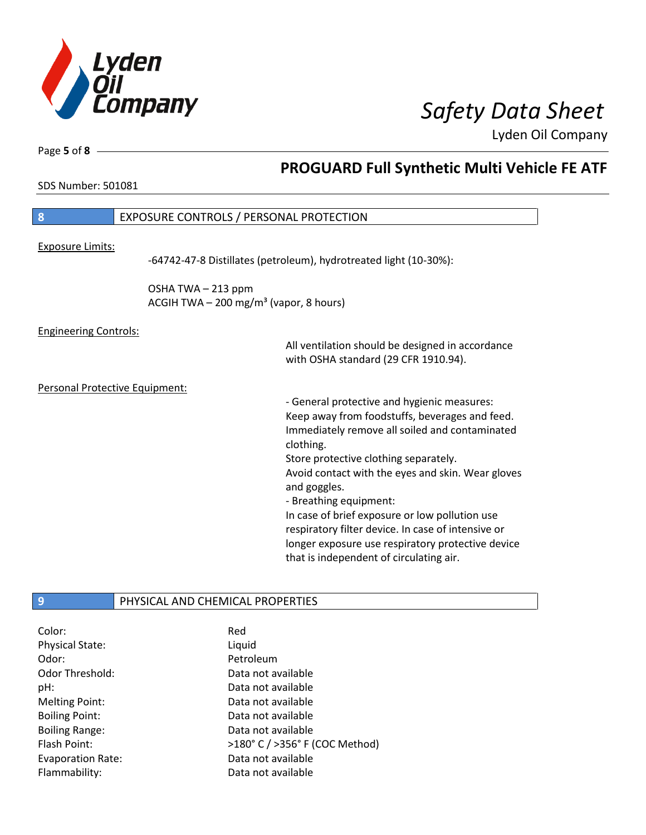

Page **5** of **8**

## **PROGUARD Full Synthetic Multi Vehicle FE ATF**

SDS Number: 501081

| 8                                         | <b>EXPOSURE CONTROLS / PERSONAL PROTECTION</b>                           |                                                                                                                                                                                                                                                                                                                                                                                                                                                                                                              |
|-------------------------------------------|--------------------------------------------------------------------------|--------------------------------------------------------------------------------------------------------------------------------------------------------------------------------------------------------------------------------------------------------------------------------------------------------------------------------------------------------------------------------------------------------------------------------------------------------------------------------------------------------------|
| <b>Exposure Limits:</b>                   |                                                                          | -64742-47-8 Distillates (petroleum), hydrotreated light (10-30%):                                                                                                                                                                                                                                                                                                                                                                                                                                            |
|                                           | OSHA TWA-213 ppm<br>ACGIH TWA $-$ 200 mg/m <sup>3</sup> (vapor, 8 hours) |                                                                                                                                                                                                                                                                                                                                                                                                                                                                                                              |
| <b>Engineering Controls:</b>              |                                                                          | All ventilation should be designed in accordance<br>with OSHA standard (29 CFR 1910.94).                                                                                                                                                                                                                                                                                                                                                                                                                     |
| Personal Protective Equipment:            |                                                                          | - General protective and hygienic measures:<br>Keep away from foodstuffs, beverages and feed.<br>Immediately remove all soiled and contaminated<br>clothing.<br>Store protective clothing separately.<br>Avoid contact with the eyes and skin. Wear gloves<br>and goggles.<br>- Breathing equipment:<br>In case of brief exposure or low pollution use<br>respiratory filter device. In case of intensive or<br>longer exposure use respiratory protective device<br>that is independent of circulating air. |
| $\overline{9}$                            | PHYSICAL AND CHEMICAL PROPERTIES                                         |                                                                                                                                                                                                                                                                                                                                                                                                                                                                                                              |
| Color:<br><b>Physical State:</b><br>Odor: | Red<br>Liquid<br>Petroleum                                               |                                                                                                                                                                                                                                                                                                                                                                                                                                                                                                              |

Odor Threshold: Data not available pH: Data not available Melting Point: Data not available Boiling Point: Case Communication of a Data not available Boiling Range: The Contract Contract Data not available Evaporation Rate: Data not available

Flash Point:  $>180^{\circ}$  C / >356° F (COC Method) Flammability: Data not available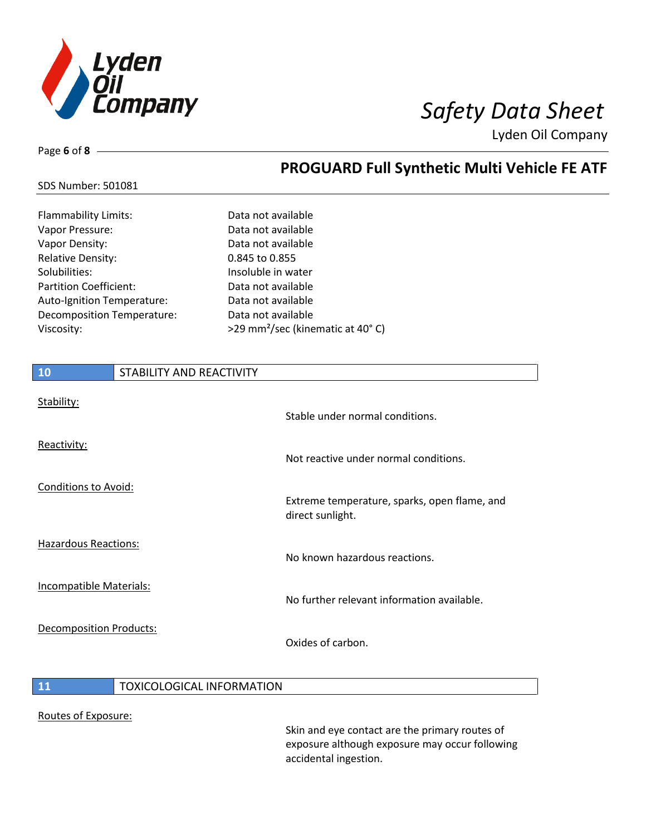

**PROGUARD Full Synthetic Multi Vehicle FE ATF**

Lyden Oil Company

## SDS Number: 501081

Page **6** of **8**

| Flammability Limits:          | Data not available                           |
|-------------------------------|----------------------------------------------|
| Vapor Pressure:               | Data not available                           |
| Vapor Density:                | Data not available                           |
| <b>Relative Density:</b>      | 0.845 to 0.855                               |
| Solubilities:                 | Insoluble in water                           |
| <b>Partition Coefficient:</b> | Data not available                           |
| Auto-Ignition Temperature:    | Data not available                           |
| Decomposition Temperature:    | Data not available                           |
| Viscosity:                    | >29 mm <sup>2</sup> /sec (kinematic at 40°C) |
|                               |                                              |

| 10                             | STABILITY AND REACTIVITY |                                                                  |
|--------------------------------|--------------------------|------------------------------------------------------------------|
| Stability:                     |                          | Stable under normal conditions.                                  |
| Reactivity:                    |                          | Not reactive under normal conditions.                            |
| <b>Conditions to Avoid:</b>    |                          | Extreme temperature, sparks, open flame, and<br>direct sunlight. |
| <b>Hazardous Reactions:</b>    |                          | No known hazardous reactions.                                    |
| <b>Incompatible Materials:</b> |                          | No further relevant information available.                       |
| <b>Decomposition Products:</b> |                          | Oxides of carbon.                                                |
|                                |                          |                                                                  |

## **11 TOXICOLOGICAL INFORMATION**

### Routes of Exposure:

Skin and eye contact are the primary routes of exposure although exposure may occur following accidental ingestion.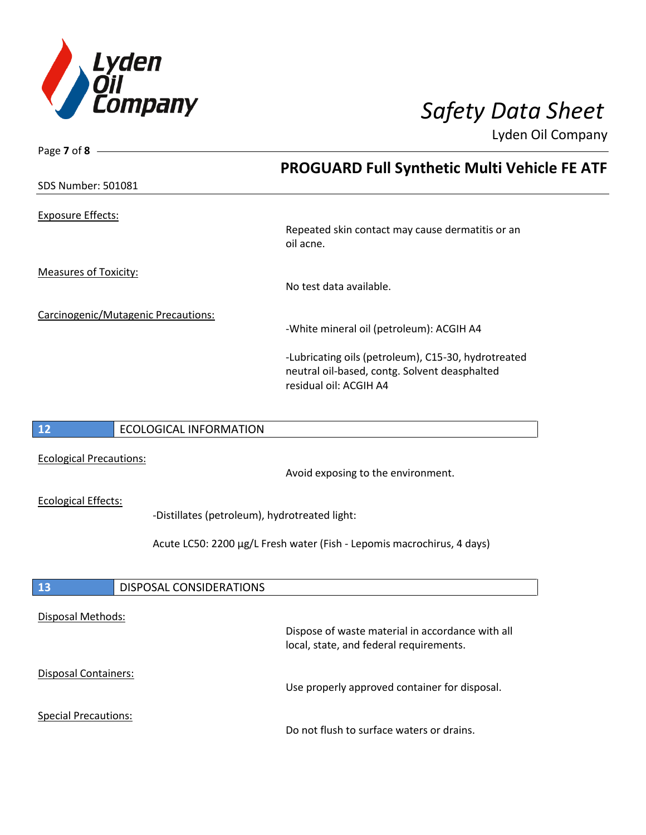

| Page 7 of 8 $-$                     |                                               |                                                                                                                                |  |
|-------------------------------------|-----------------------------------------------|--------------------------------------------------------------------------------------------------------------------------------|--|
|                                     |                                               | <b>PROGUARD Full Synthetic Multi Vehicle FE ATF</b>                                                                            |  |
| <b>SDS Number: 501081</b>           |                                               |                                                                                                                                |  |
| <b>Exposure Effects:</b>            |                                               |                                                                                                                                |  |
|                                     |                                               | Repeated skin contact may cause dermatitis or an<br>oil acne.                                                                  |  |
| <b>Measures of Toxicity:</b>        |                                               |                                                                                                                                |  |
|                                     |                                               | No test data available.                                                                                                        |  |
| Carcinogenic/Mutagenic Precautions: |                                               |                                                                                                                                |  |
|                                     |                                               | -White mineral oil (petroleum): ACGIH A4                                                                                       |  |
|                                     |                                               | -Lubricating oils (petroleum), C15-30, hydrotreated<br>neutral oil-based, contg. Solvent deasphalted<br>residual oil: ACGIH A4 |  |
|                                     |                                               |                                                                                                                                |  |
| 12                                  | <b>ECOLOGICAL INFORMATION</b>                 |                                                                                                                                |  |
| <b>Ecological Precautions:</b>      |                                               |                                                                                                                                |  |
|                                     |                                               | Avoid exposing to the environment.                                                                                             |  |
| <b>Ecological Effects:</b>          |                                               |                                                                                                                                |  |
|                                     | -Distillates (petroleum), hydrotreated light: |                                                                                                                                |  |
|                                     |                                               | Acute LC50: 2200 µg/L Fresh water (Fish - Lepomis macrochirus, 4 days)                                                         |  |
|                                     |                                               |                                                                                                                                |  |
| 13                                  | <b>DISPOSAL CONSIDERATIONS</b>                |                                                                                                                                |  |
|                                     |                                               |                                                                                                                                |  |
| Disposal Methods:                   |                                               | Dispose of waste material in accordance with all                                                                               |  |
|                                     |                                               | local, state, and federal requirements.                                                                                        |  |
| <b>Disposal Containers:</b>         |                                               |                                                                                                                                |  |

Special Precautions:

Do not flush to surface waters or drains.

Use properly approved container for disposal.